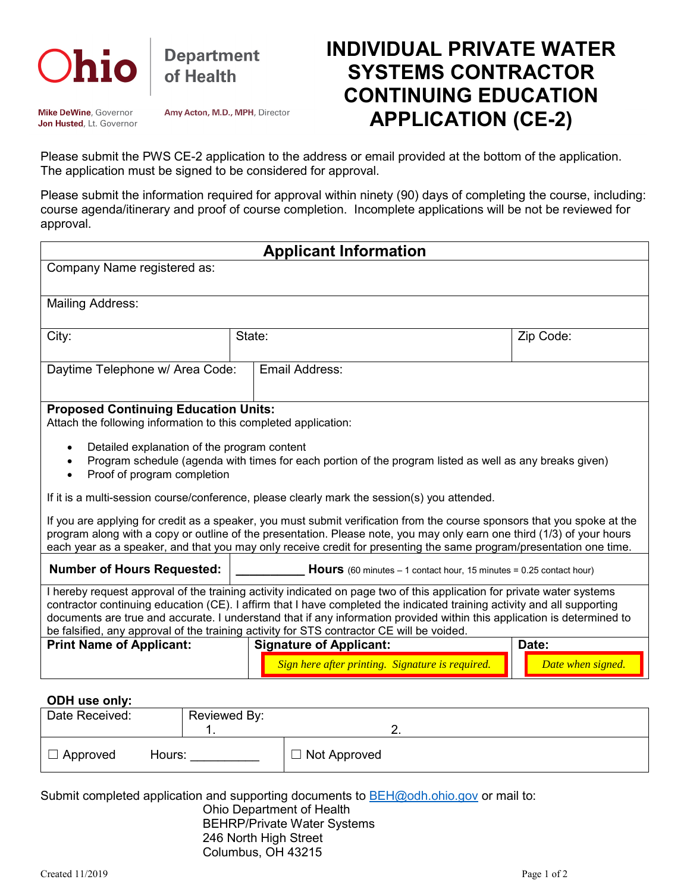

**Department** of Health

Mike DeWine, Governor Jon Husted, Lt. Governor Amy Acton, M.D., MPH, Director

## **INDIVIDUAL PRIVATE WATER SYSTEMS CONTRACTOR CONTINUING EDUCATION APPLICATION (CE-2)**

Please submit the PWS CE-2 application to the address or email provided at the bottom of the application. The application must be signed to be considered for approval.

Please submit the information required for approval within ninety (90) days of completing the course, including: course agenda/itinerary and proof of course completion. Incomplete applications will be not be reviewed for approval.

| <b>Applicant Information</b>                                                                                                                                                                                                                                                                                                                                                                                                                                              |                                                                                    |                            |  |  |
|---------------------------------------------------------------------------------------------------------------------------------------------------------------------------------------------------------------------------------------------------------------------------------------------------------------------------------------------------------------------------------------------------------------------------------------------------------------------------|------------------------------------------------------------------------------------|----------------------------|--|--|
| Company Name registered as:                                                                                                                                                                                                                                                                                                                                                                                                                                               |                                                                                    |                            |  |  |
| <b>Mailing Address:</b>                                                                                                                                                                                                                                                                                                                                                                                                                                                   |                                                                                    |                            |  |  |
| City:                                                                                                                                                                                                                                                                                                                                                                                                                                                                     | State:                                                                             | Zip Code:                  |  |  |
| Daytime Telephone w/ Area Code:                                                                                                                                                                                                                                                                                                                                                                                                                                           | Email Address:                                                                     |                            |  |  |
| <b>Proposed Continuing Education Units:</b><br>Attach the following information to this completed application:                                                                                                                                                                                                                                                                                                                                                            |                                                                                    |                            |  |  |
| Detailed explanation of the program content<br>$\bullet$<br>Program schedule (agenda with times for each portion of the program listed as well as any breaks given)<br>$\bullet$<br>Proof of program completion                                                                                                                                                                                                                                                           |                                                                                    |                            |  |  |
| If it is a multi-session course/conference, please clearly mark the session(s) you attended.                                                                                                                                                                                                                                                                                                                                                                              |                                                                                    |                            |  |  |
| If you are applying for credit as a speaker, you must submit verification from the course sponsors that you spoke at the<br>program along with a copy or outline of the presentation. Please note, you may only earn one third (1/3) of your hours<br>each year as a speaker, and that you may only receive credit for presenting the same program/presentation one time.                                                                                                 |                                                                                    |                            |  |  |
| <b>Number of Hours Requested:</b>                                                                                                                                                                                                                                                                                                                                                                                                                                         | <b>Hours</b> (60 minutes $-1$ contact hour, 15 minutes = 0.25 contact hour)        |                            |  |  |
| I hereby request approval of the training activity indicated on page two of this application for private water systems<br>contractor continuing education (CE). I affirm that I have completed the indicated training activity and all supporting<br>documents are true and accurate. I understand that if any information provided within this application is determined to<br>be falsified, any approval of the training activity for STS contractor CE will be voided. |                                                                                    |                            |  |  |
| <b>Print Name of Applicant:</b>                                                                                                                                                                                                                                                                                                                                                                                                                                           | <b>Signature of Applicant:</b><br>Sign here after printing. Signature is required. | Date:<br>Date when signed. |  |  |
|                                                                                                                                                                                                                                                                                                                                                                                                                                                                           |                                                                                    |                            |  |  |

## **ODH use only:**

| Date Received:  | Reviewed By: |                     |
|-----------------|--------------|---------------------|
| $\Box$ Approved | Hours:       | $\Box$ Not Approved |

Submit completed application and supporting documents to  $BEH@$ odh.ohio.gov or mail to:

## Ohio Department of Health BEHRP/Private Water Systems 246 North High Street Columbus, OH 43215